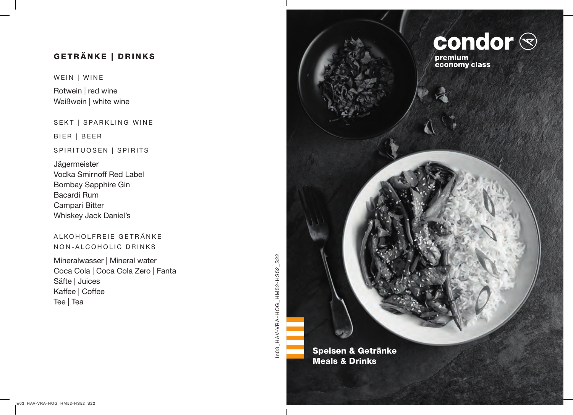# GETRÄNKE | DRINKS

WEIN | WINE

Rotwein | red wine Weißwein | white wine

SEKT | SPARKLING WINE

BIER | BEER

### SPIRITUOSEN | SPIRITS

Jägermeister Vodka Smirnoff Red Label Bombay Sapphire Gin Bacardi Rum Campari Bitter Whiskey Jack Daniel's

## ALKOHOLFREIE GETRÄNKE NON-ALCOHOLIC DRINKS

Mineralwasser | Mineral water Coca Cola | Coca Cola Zero | Fanta Säfte | Juices Kaffee | Coffee Tee | Tea

In03\_HAV-VRA-HOG\_HM52-HS52\_S22